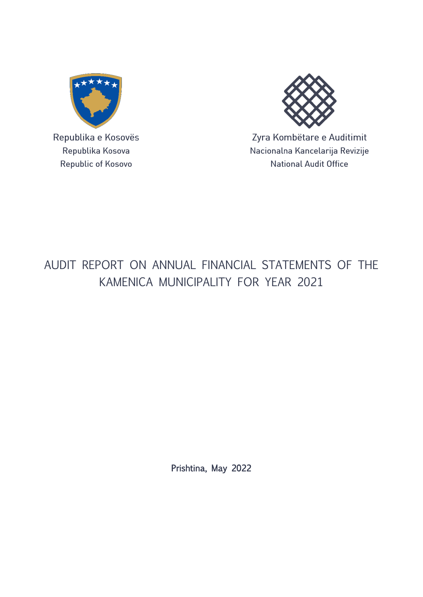

Republika Kosova Republic of Kosovo



Zyra Kombëtare e Auditimit Nacionalna Kancelarija Revizije **National Audit Office** 

# AUDIT REPORT ON ANNUAL FINANCIAL STATEMENTS OF THE KAMENICA MUNICIPALITY FOR YEAR 2021

Prishtina, May 2022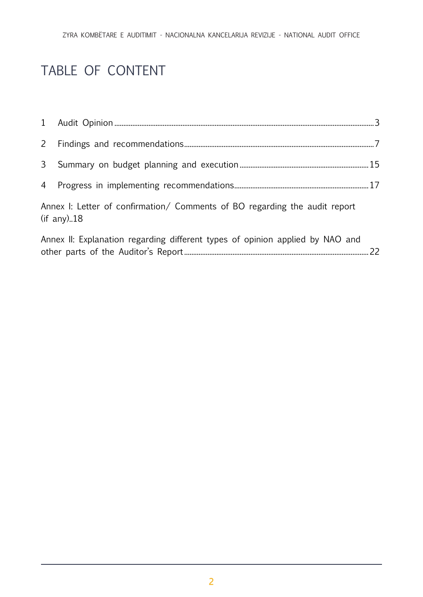# TABLE OF CONTENT

| $\mathbf{3}$ |                                                                                           |  |
|--------------|-------------------------------------------------------------------------------------------|--|
|              |                                                                                           |  |
|              | Annex I: Letter of confirmation/ Comments of BO regarding the audit report<br>(if any).18 |  |
|              | Annex II: Explanation regarding different types of opinion applied by NAO and             |  |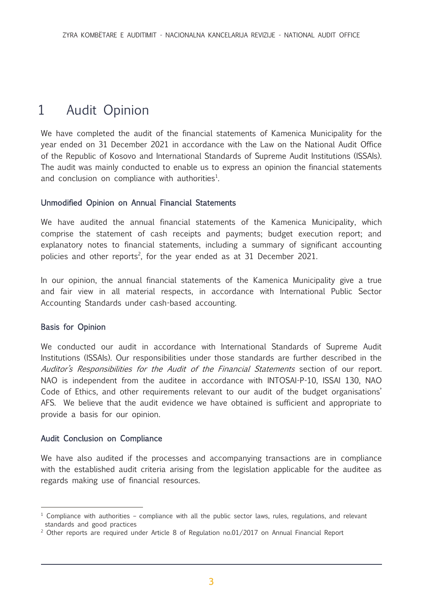# <span id="page-2-0"></span>1 Audit Opinion

We have completed the audit of the financial statements of Kamenica Municipality for the year ended on 31 December 2021 in accordance with the Law on the National Audit Office of the Republic of Kosovo and International Standards of Supreme Audit Institutions (ISSAIs). The audit was mainly conducted to enable us to express an opinion the financial statements and conclusion on compliance with authorities<sup>1</sup>.

## Unmodified Opinion on Annual Financial Statements

We have audited the annual financial statements of the Kamenica Municipality, which comprise the statement of cash receipts and payments; budget execution report; and explanatory notes to financial statements, including a summary of significant accounting policies and other reports<sup>2</sup>, for the year ended as at 31 December 2021.

In our opinion, the annual financial statements of the Kamenica Municipality give a true and fair view in all material respects, in accordance with International Public Sector Accounting Standards under cash-based accounting.

## Basis for Opinion

We conducted our audit in accordance with International Standards of Supreme Audit Institutions (ISSAIs). Our responsibilities under those standards are further described in the Auditor's Responsibilities for the Audit of the Financial Statements section of our report. NAO is independent from the auditee in accordance with INTOSAI-P-10, ISSAI 130, NAO Code of Ethics, and other requirements relevant to our audit of the budget organisations' AFS. We believe that the audit evidence we have obtained is sufficient and appropriate to provide a basis for our opinion.

## Audit Conclusion on Compliance

We have also audited if the processes and accompanying transactions are in compliance with the established audit criteria arising from the legislation applicable for the auditee as regards making use of financial resources.

<sup>&</sup>lt;sup>1</sup> Compliance with authorities – compliance with all the public sector laws, rules, regulations, and relevant standards and good practices

<sup>&</sup>lt;sup>2</sup> Other reports are required under Article 8 of Regulation no.01/2017 on Annual Financial Report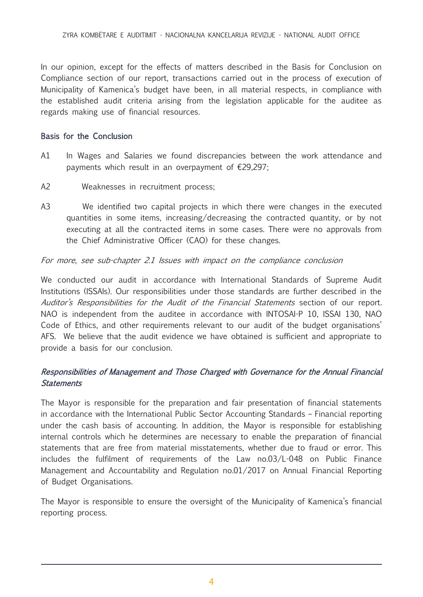In our opinion, except for the effects of matters described in the Basis for Conclusion on Compliance section of our report, transactions carried out in the process of execution of Municipality of Kamenica's budget have been, in all material respects, in compliance with the established audit criteria arising from the legislation applicable for the auditee as regards making use of financial resources.

## Basis for the Conclusion

- A1 In Wages and Salaries we found discrepancies between the work attendance and payments which result in an overpayment of €29,297;
- A2 Weaknesses in recruitment process;
- A3 We identified two capital projects in which there were changes in the executed quantities in some items, increasing/decreasing the contracted quantity, or by not executing at all the contracted items in some cases. There were no approvals from the Chief Administrative Officer (CAO) for these changes.

## For more, see sub-chapter 2.1 Issues with impact on the compliance conclusion

We conducted our audit in accordance with International Standards of Supreme Audit Institutions (ISSAIs). Our responsibilities under those standards are further described in the Auditor's Responsibilities for the Audit of the Financial Statements section of our report. NAO is independent from the auditee in accordance with INTOSAI-P 10, ISSAI 130, NAO Code of Ethics, and other requirements relevant to our audit of the budget organisations' AFS. We believe that the audit evidence we have obtained is sufficient and appropriate to provide a basis for our conclusion.

# Responsibilities of Management and Those Charged with Governance for the Annual Financial **Statements**

The Mayor is responsible for the preparation and fair presentation of financial statements in accordance with the International Public Sector Accounting Standards – Financial reporting under the cash basis of accounting. In addition, the Mayor is responsible for establishing internal controls which he determines are necessary to enable the preparation of financial statements that are free from material misstatements, whether due to fraud or error. This includes the fulfilment of requirements of the Law no.03/L-048 on Public Finance Management and Accountability and Regulation no.01/2017 on Annual Financial Reporting of Budget Organisations.

The Mayor is responsible to ensure the oversight of the Municipality of Kamenica's financial reporting process.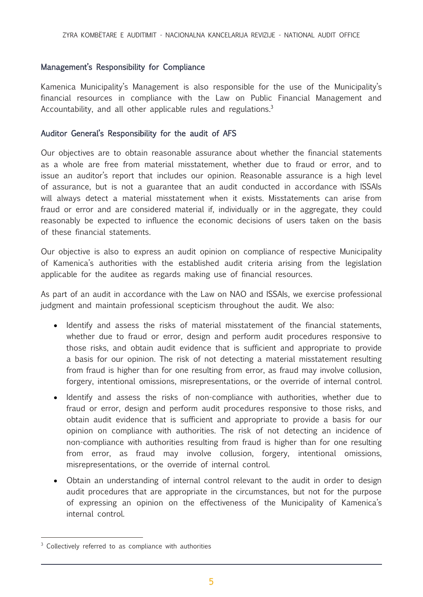## Management's Responsibility for Compliance

Kamenica Municipality's Management is also responsible for the use of the Municipality's financial resources in compliance with the Law on Public Financial Management and Accountability, and all other applicable rules and regulations.<sup>3</sup>

### Auditor General's Responsibility for the audit of AFS

Our objectives are to obtain reasonable assurance about whether the financial statements as a whole are free from material misstatement, whether due to fraud or error, and to issue an auditor's report that includes our opinion. Reasonable assurance is a high level of assurance, but is not a guarantee that an audit conducted in accordance with ISSAIs will always detect a material misstatement when it exists. Misstatements can arise from fraud or error and are considered material if, individually or in the aggregate, they could reasonably be expected to influence the economic decisions of users taken on the basis of these financial statements.

Our objective is also to express an audit opinion on compliance of respective Municipality of Kamenica's authorities with the established audit criteria arising from the legislation applicable for the auditee as regards making use of financial resources.

As part of an audit in accordance with the Law on NAO and ISSAIs, we exercise professional judgment and maintain professional scepticism throughout the audit. We also:

- Identify and assess the risks of material misstatement of the financial statements, whether due to fraud or error, design and perform audit procedures responsive to those risks, and obtain audit evidence that is sufficient and appropriate to provide a basis for our opinion. The risk of not detecting a material misstatement resulting from fraud is higher than for one resulting from error, as fraud may involve collusion, forgery, intentional omissions, misrepresentations, or the override of internal control.
- Identify and assess the risks of non-compliance with authorities, whether due to fraud or error, design and perform audit procedures responsive to those risks, and obtain audit evidence that is sufficient and appropriate to provide a basis for our opinion on compliance with authorities. The risk of not detecting an incidence of non-compliance with authorities resulting from fraud is higher than for one resulting from error, as fraud may involve collusion, forgery, intentional omissions, misrepresentations, or the override of internal control.
- Obtain an understanding of internal control relevant to the audit in order to design audit procedures that are appropriate in the circumstances, but not for the purpose of expressing an opinion on the effectiveness of the Municipality of Kamenica's internal control.

<sup>&</sup>lt;sup>3</sup> Collectively referred to as compliance with authorities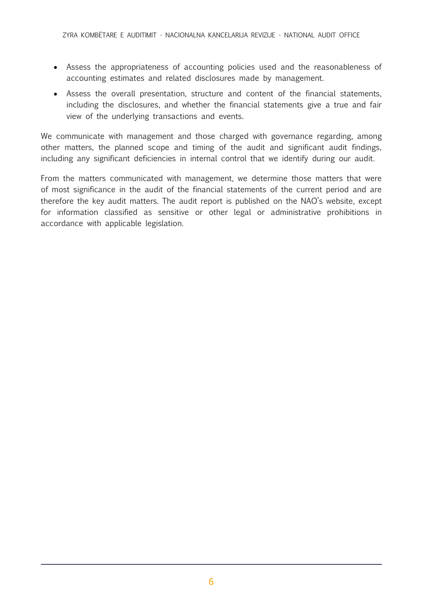- Assess the appropriateness of accounting policies used and the reasonableness of accounting estimates and related disclosures made by management.
- Assess the overall presentation, structure and content of the financial statements, including the disclosures, and whether the financial statements give a true and fair view of the underlying transactions and events.

We communicate with management and those charged with governance regarding, among other matters, the planned scope and timing of the audit and significant audit findings, including any significant deficiencies in internal control that we identify during our audit.

From the matters communicated with management, we determine those matters that were of most significance in the audit of the financial statements of the current period and are therefore the key audit matters. The audit report is published on the NAO's website, except for information classified as sensitive or other legal or administrative prohibitions in accordance with applicable legislation.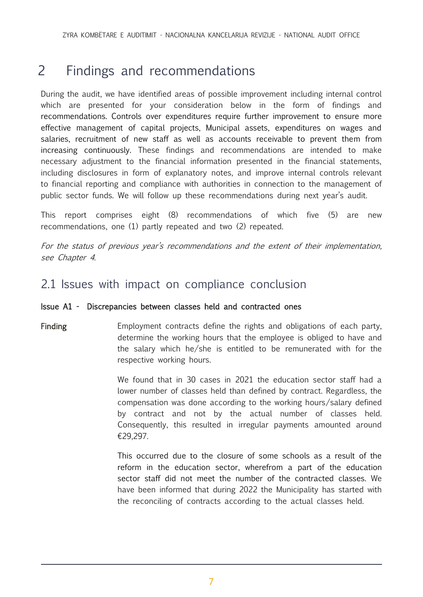# <span id="page-6-0"></span>2 Findings and recommendations

During the audit, we have identified areas of possible improvement including internal control which are presented for your consideration below in the form of findings and recommendations. Controls over expenditures require further improvement to ensure more effective management of capital projects, Municipal assets, expenditures on wages and salaries, recruitment of new staff as well as accounts receivable to prevent them from increasing continuously. These findings and recommendations are intended to make necessary adjustment to the financial information presented in the financial statements, including disclosures in form of explanatory notes, and improve internal controls relevant to financial reporting and compliance with authorities in connection to the management of public sector funds. We will follow up these recommendations during next year's audit.

This report comprises eight (8) recommendations of which five (5) are new recommendations, one (1) partly repeated and two (2) repeated.

For the status of previous year's recommendations and the extent of their implementation, see Chapter 4.

# 2.1 Issues with impact on compliance conclusion

## Issue A1 - Discrepancies between classes held and contracted ones

Finding Employment contracts define the rights and obligations of each party, determine the working hours that the employee is obliged to have and the salary which he/she is entitled to be remunerated with for the respective working hours.

> We found that in 30 cases in 2021 the education sector staff had a lower number of classes held than defined by contract. Regardless, the compensation was done according to the working hours/salary defined by contract and not by the actual number of classes held. Consequently, this resulted in irregular payments amounted around €29,297.

> This occurred due to the closure of some schools as a result of the reform in the education sector, wherefrom a part of the education sector staff did not meet the number of the contracted classes. We have been informed that during 2022 the Municipality has started with the reconciling of contracts according to the actual classes held.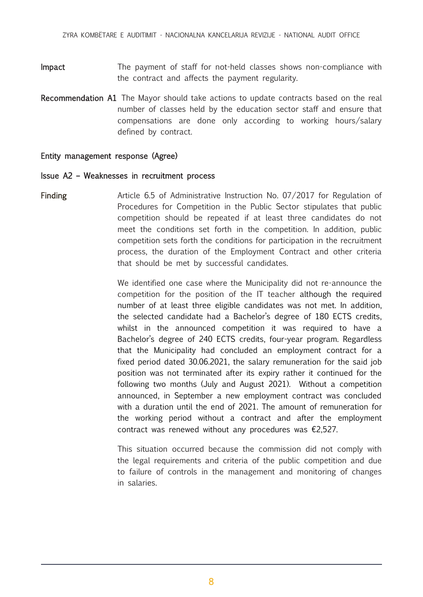- Impact The payment of staff for not-held classes shows non-compliance with the contract and affects the payment regularity.
- Recommendation A1 The Mayor should take actions to update contracts based on the real number of classes held by the education sector staff and ensure that compensations are done only according to working hours/salary defined by contract.

### Issue A2 – Weaknesses in recruitment process

Finding **Article 6.5 of Administrative Instruction No. 07/2017 for Regulation of** Procedures for Competition in the Public Sector stipulates that public competition should be repeated if at least three candidates do not meet the conditions set forth in the competition. In addition, public competition sets forth the conditions for participation in the recruitment process, the duration of the Employment Contract and other criteria that should be met by successful candidates.

> We identified one case where the Municipality did not re-announce the competition for the position of the IT teacher although the required number of at least three eligible candidates was not met. In addition, the selected candidate had a Bachelor's degree of 180 ECTS credits, whilst in the announced competition it was required to have a Bachelor's degree of 240 ECTS credits, four-year program. Regardless that the Municipality had concluded an employment contract for a fixed period dated 30.06.2021, the salary remuneration for the said job position was not terminated after its expiry rather it continued for the following two months (July and August 2021). Without a competition announced, in September a new employment contract was concluded with a duration until the end of 2021. The amount of remuneration for the working period without a contract and after the employment contract was renewed without any procedures was €2,527.

> This situation occurred because the commission did not comply with the legal requirements and criteria of the public competition and due to failure of controls in the management and monitoring of changes in salaries.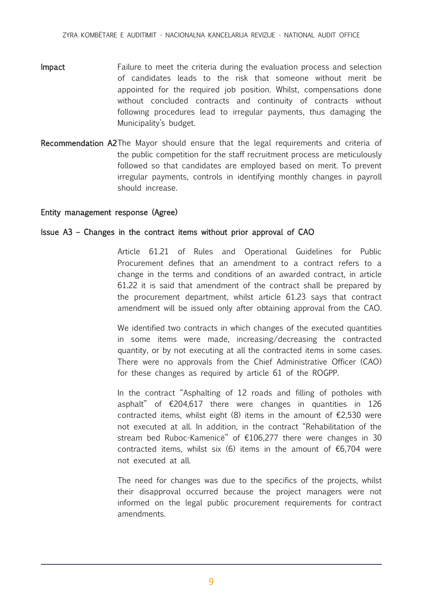- Impact Failure to meet the criteria during the evaluation process and selection of candidates leads to the risk that someone without merit be appointed for the required job position. Whilst, compensations done without concluded contracts and continuity of contracts without following procedures lead to irregular payments, thus damaging the Municipality's budget.
- Recommendation A2The Mayor should ensure that the legal requirements and criteria of the public competition for the staff recruitment process are meticulously followed so that candidates are employed based on merit. To prevent irregular payments, controls in identifying monthly changes in payroll should increase.

## Issue A3 – Changes in the contract items without prior approval of CAO

Article 61.21 of Rules and Operational Guidelines for Public Procurement defines that an amendment to a contract refers to a change in the terms and conditions of an awarded contract, in article 61.22 it is said that amendment of the contract shall be prepared by the procurement department, whilst article 61.23 says that contract amendment will be issued only after obtaining approval from the CAO.

We identified two contracts in which changes of the executed quantities in some items were made, increasing/decreasing the contracted quantity, or by not executing at all the contracted items in some cases. There were no approvals from the Chief Administrative Officer (CAO) for these changes as required by article 61 of the ROGPP.

In the contract "Asphalting of 12 roads and filling of potholes with asphalt" of €204,617 there were changes in quantities in 126 contracted items, whilst eight (8) items in the amount of  $E$ 2,530 were not executed at all. In addition, in the contract "Rehabilitation of the stream bed Ruboc-Kamenicë" of €106,277 there were changes in 30 contracted items, whilst six (6) items in the amount of  $E6,704$  were not executed at all.

The need for changes was due to the specifics of the projects, whilst their disapproval occurred because the project managers were not informed on the legal public procurement requirements for contract amendments.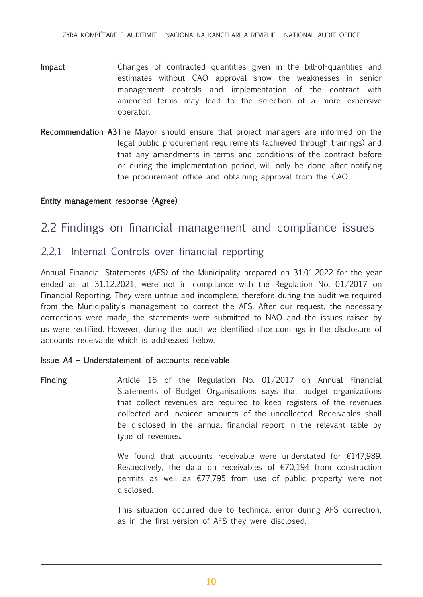- Impact Changes of contracted quantities given in the bill-of-quantities and estimates without CAO approval show the weaknesses in senior management controls and implementation of the contract with amended terms may lead to the selection of a more expensive operator.
- Recommendation A3The Mayor should ensure that project managers are informed on the legal public procurement requirements (achieved through trainings) and that any amendments in terms and conditions of the contract before or during the implementation period, will only be done after notifying the procurement office and obtaining approval from the CAO.

# 2.2 Findings on financial management and compliance issues

# 2.2.1 Internal Controls over financial reporting

Annual Financial Statements (AFS) of the Municipality prepared on 31.01.2022 for the year ended as at 31.12.2021, were not in compliance with the Regulation No. 01/2017 on Financial Reporting. They were untrue and incomplete, therefore during the audit we required from the Municipality's management to correct the AFS. After our request, the necessary corrections were made, the statements were submitted to NAO and the issues raised by us were rectified. However, during the audit we identified shortcomings in the disclosure of accounts receivable which is addressed below.

## Issue A4 – Understatement of accounts receivable

Finding **Article 16** of the Regulation No. 01/2017 on Annual Financial Statements of Budget Organisations says that budget organizations that collect revenues are required to keep registers of the revenues collected and invoiced amounts of the uncollected. Receivables shall be disclosed in the annual financial report in the relevant table by type of revenues.

> We found that accounts receivable were understated for €147,989. Respectively, the data on receivables of  $\epsilon$ 70,194 from construction permits as well as  $\epsilon$ 77,795 from use of public property were not disclosed.

> This situation occurred due to technical error during AFS correction, as in the first version of AFS they were disclosed.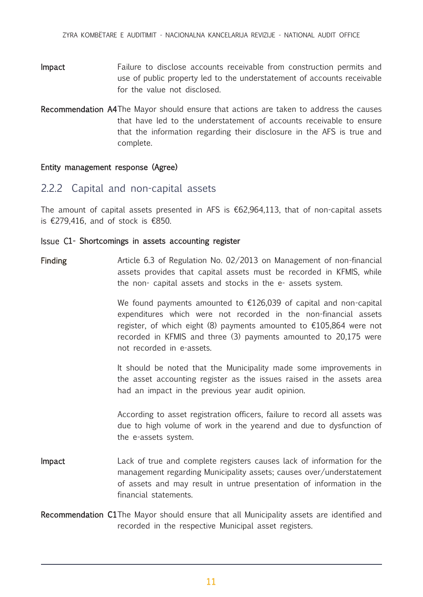- Impact Failure to disclose accounts receivable from construction permits and use of public property led to the understatement of accounts receivable for the value not disclosed.
- Recommendation A4The Mayor should ensure that actions are taken to address the causes that have led to the understatement of accounts receivable to ensure that the information regarding their disclosure in the AFS is true and complete.

# 2.2.2 Capital and non-capital assets

The amount of capital assets presented in AFS is  $€62,964,113$ , that of non-capital assets is €279,416, and of stock is €850.

### Issue C1- Shortcomings in assets accounting register

Finding **Article 6.3 of Regulation No. 02/2013 on Management of non-financial** assets provides that capital assets must be recorded in KFMIS, while the non- capital assets and stocks in the e- assets system.

> We found payments amounted to  $£126,039$  of capital and non-capital expenditures which were not recorded in the non-financial assets register, of which eight (8) payments amounted to  $\epsilon$ 105,864 were not recorded in KFMIS and three (3) payments amounted to 20,175 were not recorded in e-assets.

> It should be noted that the Municipality made some improvements in the asset accounting register as the issues raised in the assets area had an impact in the previous year audit opinion.

> According to asset registration officers, failure to record all assets was due to high volume of work in the yearend and due to dysfunction of the e-assets system.

- Impact Lack of true and complete registers causes lack of information for the management regarding Municipality assets; causes over/understatement of assets and may result in untrue presentation of information in the financial statements.
- Recommendation C1The Mayor should ensure that all Municipality assets are identified and recorded in the respective Municipal asset registers.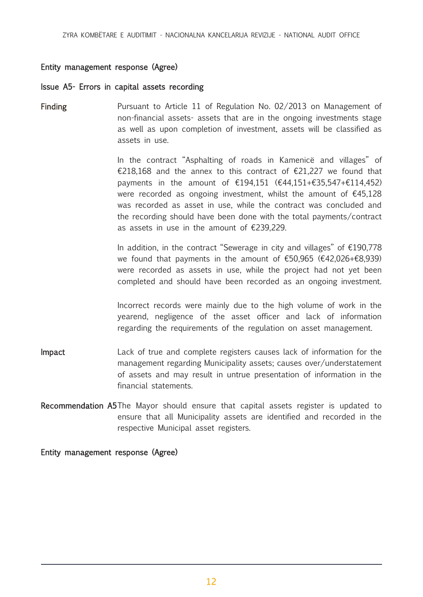### Issue A5- Errors in capital assets recording

Finding **Pursuant to Article 11 of Regulation No. 02/2013** on Management of non-financial assets- assets that are in the ongoing investments stage as well as upon completion of investment, assets will be classified as assets in use.

> In the contract "Asphalting of roads in Kamenicë and villages" of €218,168 and the annex to this contract of  $€21,227$  we found that payments in the amount of €194,151 (€44,151+€35,547+€114,452) were recorded as ongoing investment, whilst the amount of  $£45,128$ was recorded as asset in use, while the contract was concluded and the recording should have been done with the total payments/contract as assets in use in the amount of €239,229.

> In addition, in the contract "Sewerage in city and villages" of €190,778 we found that payments in the amount of  $\text{\textsterling}50,965$  ( $\text{\textsterling}42,026+\text{\textsterling}8,939$ ) were recorded as assets in use, while the project had not yet been completed and should have been recorded as an ongoing investment.

> Incorrect records were mainly due to the high volume of work in the yearend, negligence of the asset officer and lack of information regarding the requirements of the regulation on asset management.

- **Impact** Lack of true and complete registers causes lack of information for the management regarding Municipality assets; causes over/understatement of assets and may result in untrue presentation of information in the financial statements.
- Recommendation A5The Mayor should ensure that capital assets register is updated to ensure that all Municipality assets are identified and recorded in the respective Municipal asset registers.

Entity management response (Agree)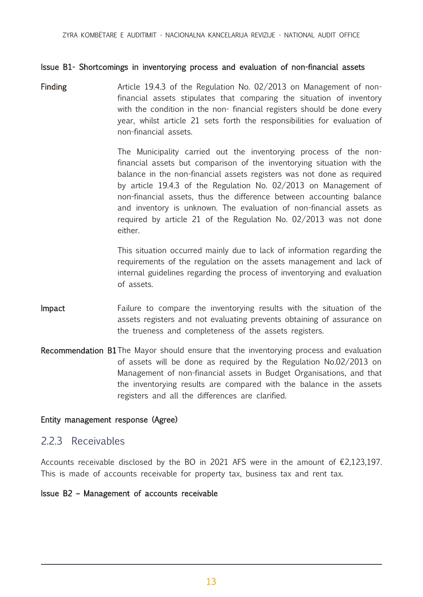## Issue B1- Shortcomings in inventorying process and evaluation of non-financial assets

Finding **Article 19.4.3** of the Regulation No. 02/2013 on Management of nonfinancial assets stipulates that comparing the situation of inventory with the condition in the non- financial registers should be done every year, whilst article 21 sets forth the responsibilities for evaluation of non-financial assets.

> The Municipality carried out the inventorying process of the nonfinancial assets but comparison of the inventorying situation with the balance in the non-financial assets registers was not done as required by article 19.4.3 of the Regulation No. 02/2013 on Management of non-financial assets, thus the difference between accounting balance and inventory is unknown. The evaluation of non-financial assets as required by article 21 of the Regulation No. 02/2013 was not done either.

> This situation occurred mainly due to lack of information regarding the requirements of the regulation on the assets management and lack of internal guidelines regarding the process of inventorying and evaluation of assets.

- Impact Failure to compare the inventorying results with the situation of the assets registers and not evaluating prevents obtaining of assurance on the trueness and completeness of the assets registers.
- Recommendation B1 The Mayor should ensure that the inventorying process and evaluation of assets will be done as required by the Regulation No.02/2013 on Management of non-financial assets in Budget Organisations, and that the inventorying results are compared with the balance in the assets registers and all the differences are clarified.

## Entity management response (Agree)

## 2.2.3 Receivables

Accounts receivable disclosed by the BO in 2021 AFS were in the amount of €2,123,197. This is made of accounts receivable for property tax, business tax and rent tax.

### Issue B2 – Management of accounts receivable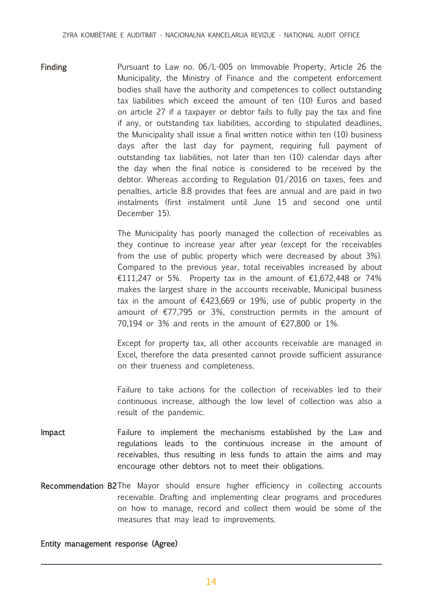Finding **Pursuant to Law no. 06/L-005 on Immovable Property, Article 26 the** Municipality, the Ministry of Finance and the competent enforcement bodies shall have the authority and competences to collect outstanding tax liabilities which exceed the amount of ten (10) Euros and based on article 27 if a taxpayer or debtor fails to fully pay the tax and fine if any, or outstanding tax liabilities, according to stipulated deadlines, the Municipality shall issue a final written notice within ten (10) business days after the last day for payment, requiring full payment of outstanding tax liabilities, not later than ten (10) calendar days after the day when the final notice is considered to be received by the debtor. Whereas according to Regulation 01/2016 on taxes, fees and penalties, article 8.8 provides that fees are annual and are paid in two instalments (first instalment until June 15 and second one until December 15).

> The Municipality has poorly managed the collection of receivables as they continue to increase year after year (except for the receivables from the use of public property which were decreased by about 3%). Compared to the previous year, total receivables increased by about €111,247 or 5%. Property tax in the amount of €1,672,448 or 74% makes the largest share in the accounts receivable, Municipal business tax in the amount of  $£423,669$  or 19%, use of public property in the amount of €77,795 or 3%, construction permits in the amount of 70,194 or 3% and rents in the amount of  $\epsilon$ 27,800 or 1%.

> Except for property tax, all other accounts receivable are managed in Excel, therefore the data presented cannot provide sufficient assurance on their trueness and completeness.

> Failure to take actions for the collection of receivables led to their continuous increase, although the low level of collection was also a result of the pandemic.

- Impact Failure to implement the mechanisms established by the Law and regulations leads to the continuous increase in the amount of receivables, thus resulting in less funds to attain the aims and may encourage other debtors not to meet their obligations.
- Recommendation B2The Mayor should ensure higher efficiency in collecting accounts receivable. Drafting and implementing clear programs and procedures on how to manage, record and collect them would be some of the measures that may lead to improvements.

### Entity management response (Agree)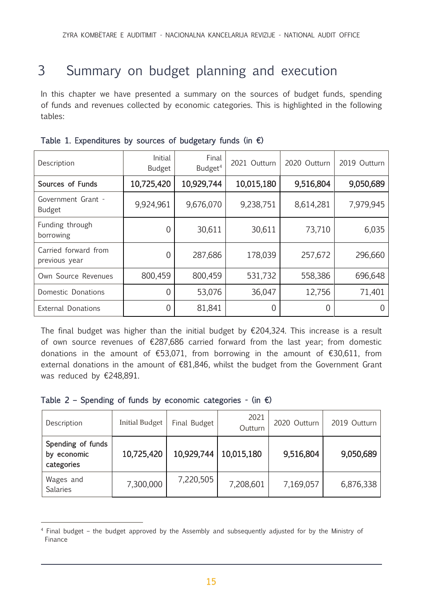# <span id="page-14-0"></span>3 Summary on budget planning and execution

In this chapter we have presented a summary on the sources of budget funds, spending of funds and revenues collected by economic categories. This is highlighted in the following tables:

| Description                           | Initial<br><b>Budget</b> | Final<br>Budget <sup>4</sup> | 2021 Outturn | 2020 Outturn   | 2019 Outturn |
|---------------------------------------|--------------------------|------------------------------|--------------|----------------|--------------|
| Sources of Funds                      | 10,725,420               | 10,929,744                   | 10,015,180   | 9,516,804      | 9,050,689    |
| Government Grant -<br><b>Budget</b>   | 9,924,961                | 9,676,070                    | 9,238,751    | 8,614,281      | 7,979,945    |
| Funding through<br>borrowing          | $\overline{0}$           | 30,611                       | 30,611       | 73,710         | 6,035        |
| Carried forward from<br>previous year | $\overline{0}$           | 287,686                      | 178,039      | 257,672        | 296,660      |
| Own Source Revenues                   | 800,459                  | 800,459                      | 531,732      | 558,386        | 696,648      |
| Domestic Donations                    | $\overline{0}$           | 53,076                       | 36,047       | 12,756         | 71,401       |
| <b>External Donations</b>             | $\overline{0}$           | 81,841                       | 0            | $\overline{0}$ |              |

| Table 1. Expenditures by sources of budgetary funds (in $\epsilon$ ) |  |  |  |  |  |  |  |  |  |  |
|----------------------------------------------------------------------|--|--|--|--|--|--|--|--|--|--|
|----------------------------------------------------------------------|--|--|--|--|--|--|--|--|--|--|

The final budget was higher than the initial budget by  $\epsilon$ 204,324. This increase is a result of own source revenues of €287,686 carried forward from the last year; from domestic donations in the amount of €53,071, from borrowing in the amount of €30,611, from external donations in the amount of €81,846, whilst the budget from the Government Grant was reduced by €248,891.

|  |  |  |  |  |  |  | Table 2 - Spending of funds by economic categories - (in $\epsilon$ ) |  |  |  |  |
|--|--|--|--|--|--|--|-----------------------------------------------------------------------|--|--|--|--|
|--|--|--|--|--|--|--|-----------------------------------------------------------------------|--|--|--|--|

| Description                                    | <b>Initial Budget</b> | Final Budget | 2021<br>Outturn | 2020 Outturn | 2019 Outturn |
|------------------------------------------------|-----------------------|--------------|-----------------|--------------|--------------|
| Spending of funds<br>by economic<br>categories | 10,725,420            | 10,929,744   | 10,015,180      | 9,516,804    | 9,050,689    |
| Wages and<br>Salaries                          | 7,300,000             | 7,220,505    | 7,208,601       | 7,169,057    | 6,876,338    |

<sup>4</sup> Final budget – the budget approved by the Assembly and subsequently adjusted for by the Ministry of Finance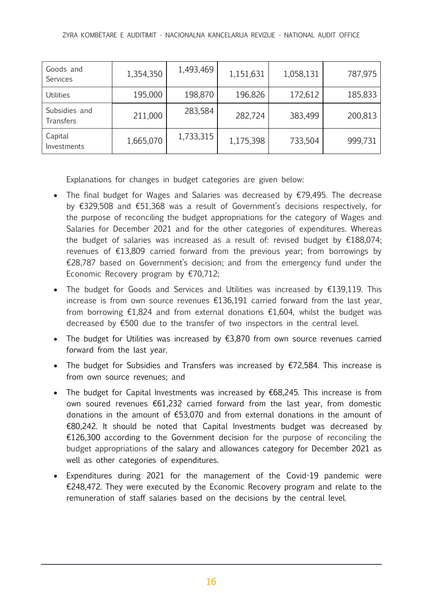| Goods and<br>Services      | 1,354,350 | 1,493,469 | 1,151,631 | 1,058,131 | 787,975 |
|----------------------------|-----------|-----------|-----------|-----------|---------|
| <b>Utilities</b>           | 195,000   | 198,870   | 196,826   | 172,612   | 185,833 |
| Subsidies and<br>Transfers | 211,000   | 283,584   | 282,724   | 383,499   | 200,813 |
| Capital<br>Investments     | 1,665,070 | 1,733,315 | 1,175,398 | 733,504   | 999,731 |

Explanations for changes in budget categories are given below:

- The final budget for Wages and Salaries was decreased by €79,495. The decrease by €329,508 and €51,368 was a result of Government's decisions respectively, for the purpose of reconciling the budget appropriations for the category of Wages and Salaries for December 2021 and for the other categories of expenditures. Whereas the budget of salaries was increased as a result of: revised budget by €188,074; revenues of €13,809 carried forward from the previous year; from borrowings by €28,787 based on Government's decision; and from the emergency fund under the Economic Recovery program by €70,712;
- The budget for Goods and Services and Utilities was increased by €139,119. This increase is from own source revenues €136,191 carried forward from the last year, from borrowing  $\epsilon$ 1,824 and from external donations  $\epsilon$ 1,604, whilst the budget was decreased by €500 due to the transfer of two inspectors in the central level.
- The budget for Utilities was increased by  $£3,870$  from own source revenues carried forward from the last year.
- The budget for Subsidies and Transfers was increased by €72,584. This increase is from own source revenues; and
- The budget for Capital Investments was increased by €68,245. This increase is from own soured revenues €61,232 carried forward from the last year, from domestic donations in the amount of €53,070 and from external donations in the amount of €80,242. It should be noted that Capital Investments budget was decreased by €126,300 according to the Government decision for the purpose of reconciling the budget appropriations of the salary and allowances category for December 2021 as well as other categories of expenditures.
- Expenditures during 2021 for the management of the Covid-19 pandemic were €248,472. They were executed by the Economic Recovery program and relate to the remuneration of staff salaries based on the decisions by the central level.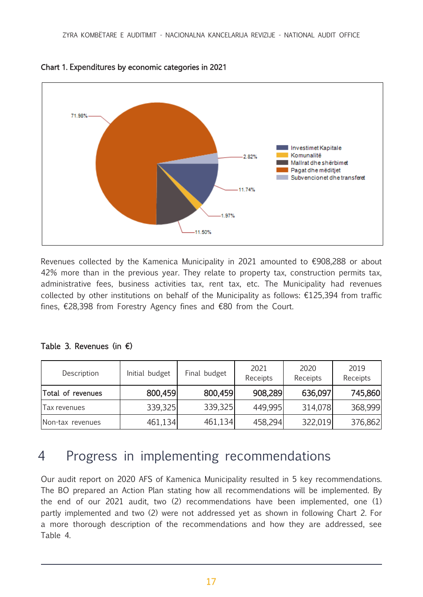



Revenues collected by the Kamenica Municipality in 2021 amounted to €908,288 or about 42% more than in the previous year. They relate to property tax, construction permits tax, administrative fees, business activities tax, rent tax, etc. The Municipality had revenues collected by other institutions on behalf of the Municipality as follows:  $£125,394$  from traffic fines, €28,398 from Forestry Agency fines and €80 from the Court.

| Table 3. Revenues (in $\epsilon$ ) |  |
|------------------------------------|--|
|------------------------------------|--|

| Description       | Initial budget | Final budget | 2021<br>Receipts | 2020<br>Receipts | 2019<br>Receipts |
|-------------------|----------------|--------------|------------------|------------------|------------------|
| Total of revenues | 800,459        | 800,459      | 908,289          | 636,097          | 745,860          |
| Tax revenues      | 339,325        | 339,325      | 449,995          | 314,078          | 368,999          |
| Non-tax revenues  | 461,134        | 461,134      | 458,294          | 322,019          | 376,862          |

# <span id="page-16-0"></span>4 Progress in implementing recommendations

Our audit report on 2020 AFS of Kamenica Municipality resulted in 5 key recommendations. The BO prepared an Action Plan stating how all recommendations will be implemented. By the end of our 2021 audit, two (2) recommendations have been implemented, one (1) partly implemented and two (2) were not addressed yet as shown in following Chart 2. For a more thorough description of the recommendations and how they are addressed, see Table 4.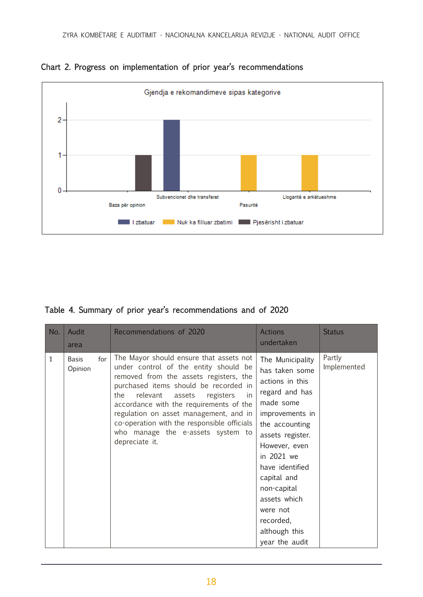

Chart 2. Progress on implementation of prior year's recommendations

|  |  | Table 4. Summary of prior year's recommendations and of 2020 |  |  |
|--|--|--------------------------------------------------------------|--|--|
|  |  |                                                              |  |  |

| No.          | Audit<br>area           |     | Recommendations of 2020                                                                                                                                                                                                                                                                                                                                                                                         | <b>Actions</b><br>undertaken                                                                                                                                                                                                                                                                              | <b>Status</b>         |
|--------------|-------------------------|-----|-----------------------------------------------------------------------------------------------------------------------------------------------------------------------------------------------------------------------------------------------------------------------------------------------------------------------------------------------------------------------------------------------------------------|-----------------------------------------------------------------------------------------------------------------------------------------------------------------------------------------------------------------------------------------------------------------------------------------------------------|-----------------------|
| $\mathbf{1}$ | <b>Basis</b><br>Opinion | for | The Mayor should ensure that assets not<br>under control of the entity should be<br>removed from the assets registers, the<br>purchased items should be recorded in<br>relevant<br>assets<br>the<br>registers<br>in.<br>accordance with the requirements of the<br>regulation on asset management, and in<br>co-operation with the responsible officials<br>who manage the e-assets system to<br>depreciate it. | The Municipality<br>has taken some<br>actions in this<br>regard and has<br>made some<br>improvements in<br>the accounting<br>assets register.<br>However, even<br>in 2021 we<br>have identified<br>capital and<br>non-capital<br>assets which<br>were not<br>recorded,<br>although this<br>year the audit | Partly<br>Implemented |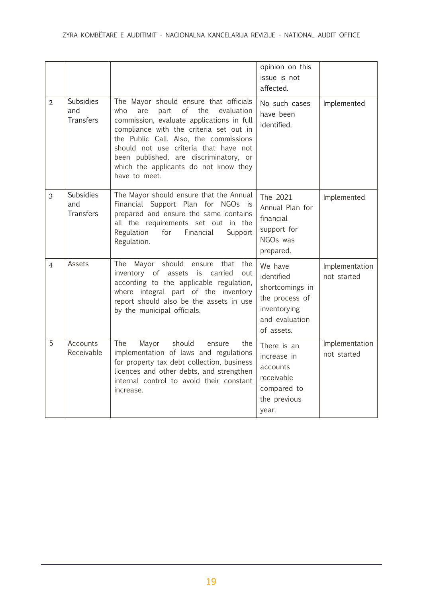|                |                                             |                                                                                                                                                                                                                                                                                                                                                                        | opinion on this<br>issue is not<br>affected.                                                               |                               |
|----------------|---------------------------------------------|------------------------------------------------------------------------------------------------------------------------------------------------------------------------------------------------------------------------------------------------------------------------------------------------------------------------------------------------------------------------|------------------------------------------------------------------------------------------------------------|-------------------------------|
| $\overline{2}$ | <b>Subsidies</b><br>and<br><b>Transfers</b> | The Mayor should ensure that officials<br>of<br>the<br>who<br>are<br>part<br>evaluation<br>commission, evaluate applications in full<br>compliance with the criteria set out in<br>the Public Call. Also, the commissions<br>should not use criteria that have not<br>been published, are discriminatory, or<br>which the applicants do not know they<br>have to meet. | No such cases<br>have been<br>identified.                                                                  | Implemented                   |
| 3              | <b>Subsidies</b><br>and<br><b>Transfers</b> | The Mayor should ensure that the Annual<br>Financial Support Plan for NGOs is<br>prepared and ensure the same contains<br>all the requirements set out in the<br>Regulation<br>Financial<br>for<br>Support<br>Regulation.                                                                                                                                              | The 2021<br>Annual Plan for<br>financial<br>support for<br>NGO <sub>s</sub> was<br>prepared.               | Implemented                   |
| $\overline{4}$ | Assets                                      | Mayor should ensure that the<br>The<br>inventory of assets is carried<br>out<br>according to the applicable regulation,<br>where integral part of the inventory<br>report should also be the assets in use<br>by the municipal officials.                                                                                                                              | We have<br>identified<br>shortcomings in<br>the process of<br>inventorying<br>and evaluation<br>of assets. | Implementation<br>not started |
| 5              | Accounts<br>Receivable                      | should<br>The<br>Mayor<br>the<br>ensure<br>implementation of laws and regulations<br>for property tax debt collection, business<br>licences and other debts, and strengthen<br>internal control to avoid their constant<br>increase.                                                                                                                                   | There is an<br>increase in<br>accounts<br>receivable<br>compared to<br>the previous<br>year.               | Implementation<br>not started |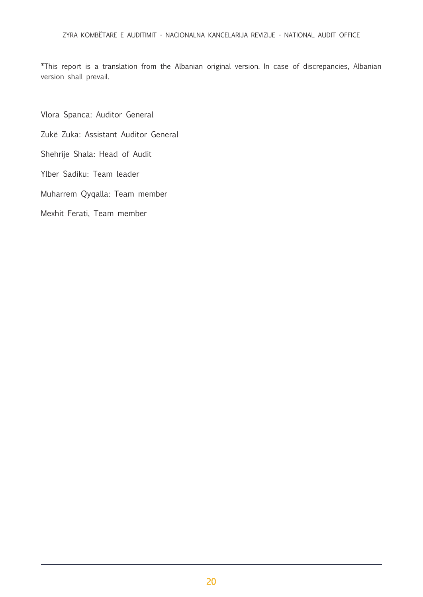\*This report is a translation from the Albanian original version. In case of discrepancies, Albanian version shall prevail.

Vlora Spanca: Auditor General Zukë Zuka: Assistant Auditor General Shehrije Shala: Head of Audit Ylber Sadiku: Team leader Muharrem Qyqalla: Team member Mexhit Ferati, Team member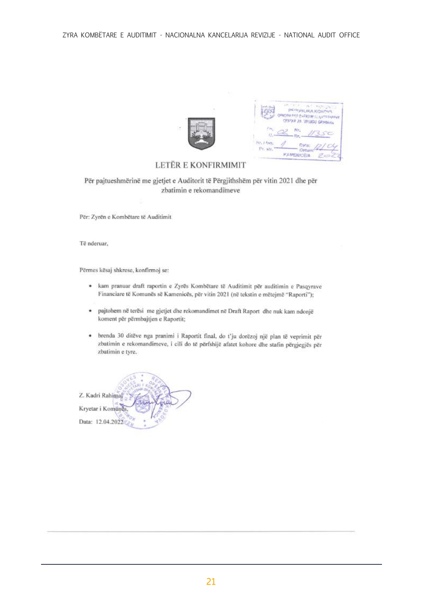

LETËR E KONFIRMIMIT

Për pajtueshmërinë me gjetjet e Auditorit të Përgjithshëm për vitin 2021 dhe për zbatimin e rekomandimeve

Për: Zyrën e Kombëtare të Auditimit

Të nderuar.

Përmes kësaj shkrese, konfirmoj se:

- kam pranuar draft raportin e Zyrës Kombëtare të Auditimit për auditimin e Pasqyrave ٠ Financiare të Komunës së Kamenicës, për vitin 2021 (në tekstin e mëtejmë "Raporti");
- ٠ pajtohem në terësi me gjetjet dhe rekomandimet në Draft Raport dhe nuk kam ndonjë koment për përmbajtjen e Raportit;
- · brenda 30 ditëve nga pranimi i Raportit final, do t'ju dorëzoj një plan të veprimit për zbatimin e rekomandimeve, i cili do të përfshijë afatet kohore dhe stafin përgjegjës për zbatimin e tyre.

Z. Kadri Rahimar Kryetar i Komun Data: 12.04.2022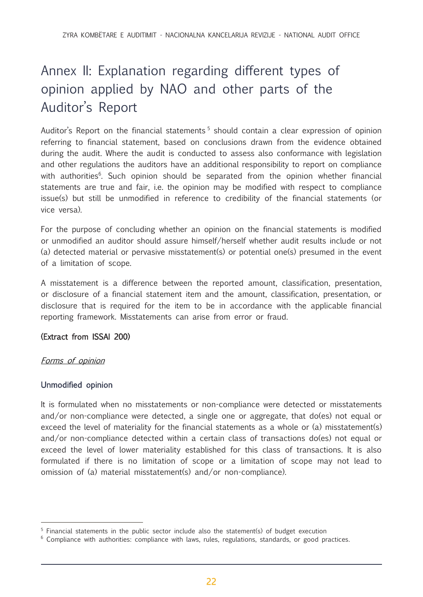# <span id="page-21-0"></span>Annex II: Explanation regarding different types of opinion applied by NAO and other parts of the Auditor's Report

Auditor's Report on the financial statements<sup>5</sup> should contain a clear expression of opinion referring to financial statement, based on conclusions drawn from the evidence obtained during the audit. Where the audit is conducted to assess also conformance with legislation and other regulations the auditors have an additional responsibility to report on compliance with authorities<sup>6</sup>. Such opinion should be separated from the opinion whether financial statements are true and fair, i.e. the opinion may be modified with respect to compliance issue(s) but still be unmodified in reference to credibility of the financial statements (or vice versa).

For the purpose of concluding whether an opinion on the financial statements is modified or unmodified an auditor should assure himself/herself whether audit results include or not (a) detected material or pervasive misstatement(s) or potential one(s) presumed in the event of a limitation of scope.

A misstatement is a difference between the reported amount, classification, presentation, or disclosure of a financial statement item and the amount, classification, presentation, or disclosure that is required for the item to be in accordance with the applicable financial reporting framework. Misstatements can arise from error or fraud.

## (Extract from ISSAI 200)

## Forms of opinion

## Unmodified opinion

It is formulated when no misstatements or non-compliance were detected or misstatements and/or non-compliance were detected, a single one or aggregate, that do(es) not equal or exceed the level of materiality for the financial statements as a whole or (a) misstatement(s) and/or non-compliance detected within a certain class of transactions do(es) not equal or exceed the level of lower materiality established for this class of transactions. It is also formulated if there is no limitation of scope or a limitation of scope may not lead to omission of (a) material misstatement(s) and/or non-compliance).

<sup>&</sup>lt;sup>5</sup> Financial statements in the public sector include also the statement(s) of budget execution

 $6$  Compliance with authorities: compliance with laws, rules, regulations, standards, or good practices.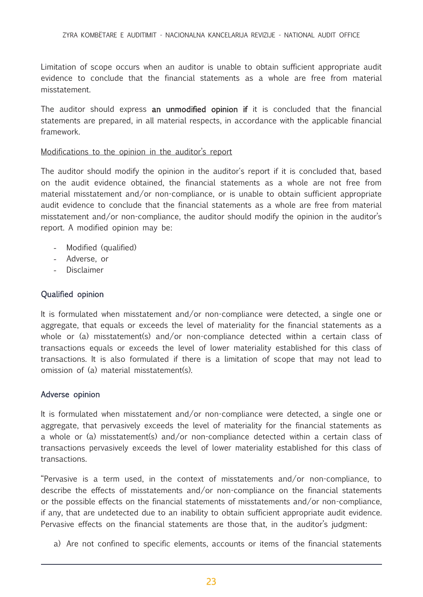Limitation of scope occurs when an auditor is unable to obtain sufficient appropriate audit evidence to conclude that the financial statements as a whole are free from material misstatement.

The auditor should express an unmodified opinion if it is concluded that the financial statements are prepared, in all material respects, in accordance with the applicable financial framework.

## Modifications to the opinion in the auditor's report

The auditor should modify the opinion in the auditor's report if it is concluded that, based on the audit evidence obtained, the financial statements as a whole are not free from material misstatement and/or non-compliance, or is unable to obtain sufficient appropriate audit evidence to conclude that the financial statements as a whole are free from material misstatement and/or non-compliance, the auditor should modify the opinion in the auditor's report. A modified opinion may be:

- Modified (qualified)
- Adverse, or
- **Disclaimer**

## Qualified opinion

It is formulated when misstatement and/or non-compliance were detected, a single one or aggregate, that equals or exceeds the level of materiality for the financial statements as a whole or (a) misstatement(s) and/or non-compliance detected within a certain class of transactions equals or exceeds the level of lower materiality established for this class of transactions. It is also formulated if there is a limitation of scope that may not lead to omission of (a) material misstatement(s).

## Adverse opinion

It is formulated when misstatement and/or non-compliance were detected, a single one or aggregate, that pervasively exceeds the level of materiality for the financial statements as a whole or (a) misstatement(s) and/or non-compliance detected within a certain class of transactions pervasively exceeds the level of lower materiality established for this class of transactions.

"Pervasive is a term used, in the context of misstatements and/or non-compliance, to describe the effects of misstatements and/or non-compliance on the financial statements or the possible effects on the financial statements of misstatements and/or non-compliance, if any, that are undetected due to an inability to obtain sufficient appropriate audit evidence. Pervasive effects on the financial statements are those that, in the auditor's judgment:

a) Are not confined to specific elements, accounts or items of the financial statements